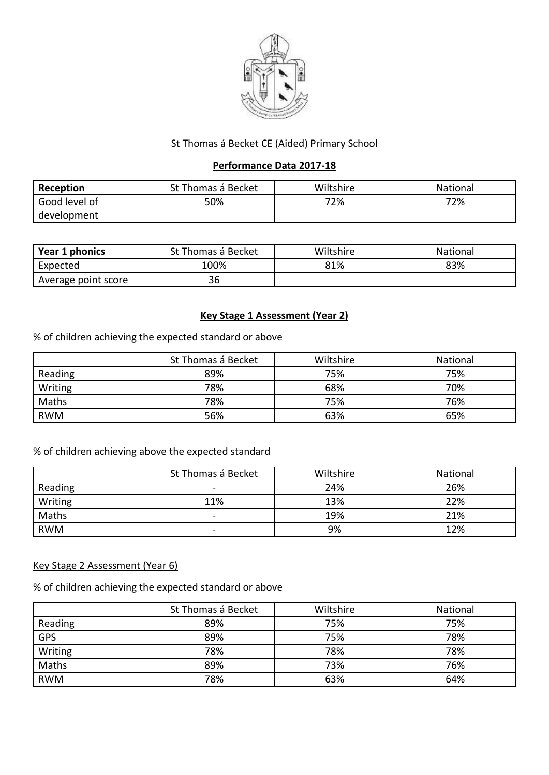

## St Thomas á Becket CE (Aided) Primary School

## **Performance Data 2017-18**

| Reception     | St Thomas á Becket | Wiltshire | National |
|---------------|--------------------|-----------|----------|
| Good level of | 50%                | 72%       | 72%      |
| development   |                    |           |          |

| Year 1 phonics      | St Thomas á Becket | Wiltshire | <b>National</b> |
|---------------------|--------------------|-----------|-----------------|
| Expected            | 100%               | 81%       | 83%             |
| Average point score | 36                 |           |                 |

## **Key Stage 1 Assessment (Year 2)**

% of children achieving the expected standard or above

|            | St Thomas á Becket | Wiltshire | National |
|------------|--------------------|-----------|----------|
| Reading    | 89%                | 75%       | 75%      |
| Writing    | 78%                | 68%       | 70%      |
| Maths      | 78%                | 75%       | 76%      |
| <b>RWM</b> | 56%                | 63%       | 65%      |

# % of children achieving above the expected standard

|            | St Thomas á Becket       | Wiltshire | National |
|------------|--------------------------|-----------|----------|
| Reading    |                          | 24%       | 26%      |
| Writing    | 11%                      | 13%       | 22%      |
| Maths      |                          | 19%       | 21%      |
| <b>RWM</b> | $\overline{\phantom{0}}$ | 9%        | 12%      |

## Key Stage 2 Assessment (Year 6)

% of children achieving the expected standard or above

|            | St Thomas á Becket | Wiltshire | National |
|------------|--------------------|-----------|----------|
| Reading    | 89%                | 75%       | 75%      |
| <b>GPS</b> | 89%                | 75%       | 78%      |
| Writing    | 78%                | 78%       | 78%      |
| Maths      | 89%                | 73%       | 76%      |
| <b>RWM</b> | 78%                | 63%       | 64%      |